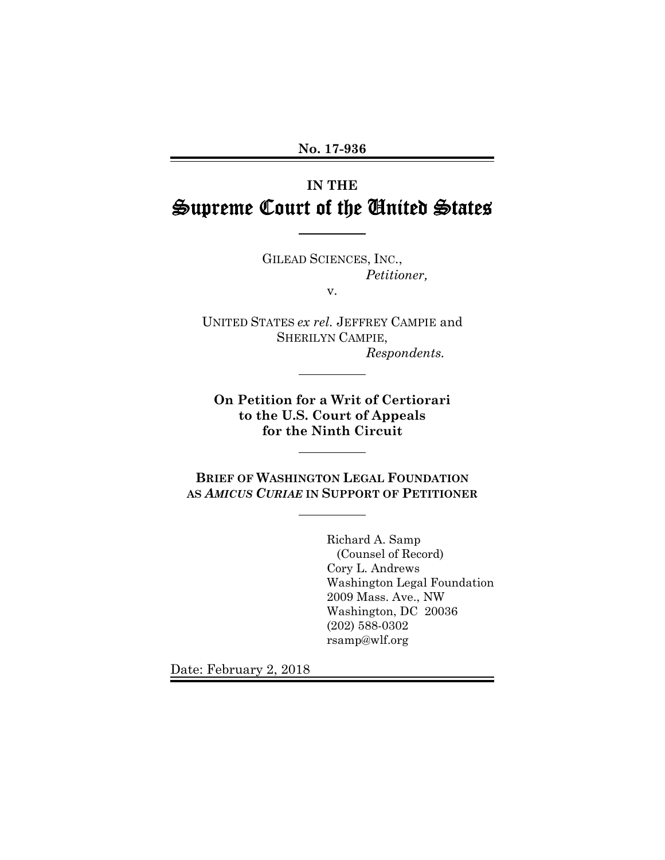**No. 17-936**

# **IN THE** Supreme Court of the United States

GILEAD SCIENCES, INC., *Petitioner,*

v.

UNITED STATES *ex rel.* JEFFREY CAMPIE and SHERILYN CAMPIE, *Respondents.*

**On Petition for a Writ of Certiorari to the U.S. Court of Appeals for the Ninth Circuit**

**BRIEF OF WASHINGTON LEGAL FOUNDATION AS** *AMICUS CURIAE* **IN SUPPORT OF PETITIONER**

> Richard A. Samp (Counsel of Record) Cory L. Andrews Washington Legal Foundation 2009 Mass. Ave., NW Washington, DC 20036 (202) 588-0302 rsamp@wlf.org

Date: February 2, 2018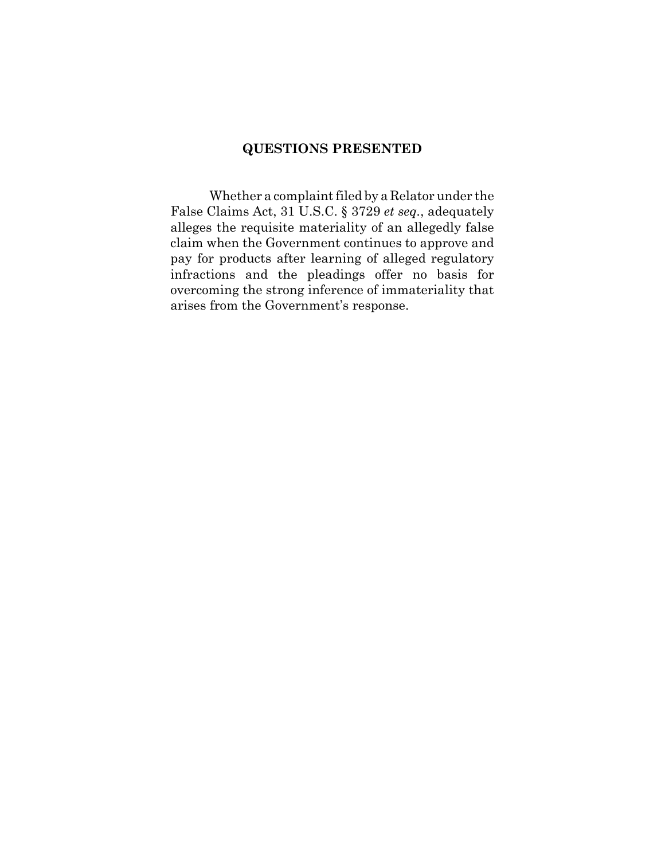## **QUESTIONS PRESENTED**

Whether a complaint filed by a Relator under the False Claims Act, 31 U.S.C. § 3729 *et seq.*, adequately alleges the requisite materiality of an allegedly false claim when the Government continues to approve and pay for products after learning of alleged regulatory infractions and the pleadings offer no basis for overcoming the strong inference of immateriality that arises from the Government's response.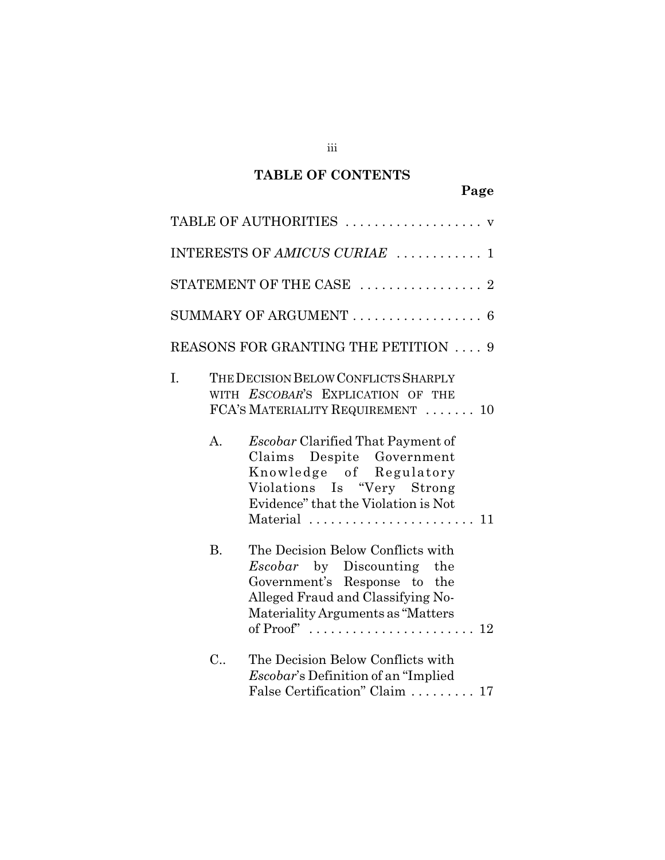#### iii

# **TABLE OF CONTENTS**

|                                      |                | TABLE OF AUTHORITIES                                                                                                                                                                                                                                            |  |  |
|--------------------------------------|----------------|-----------------------------------------------------------------------------------------------------------------------------------------------------------------------------------------------------------------------------------------------------------------|--|--|
|                                      |                | INTERESTS OF AMICUS CURIAE  1                                                                                                                                                                                                                                   |  |  |
|                                      |                | STATEMENT OF THE CASE $\ldots \ldots \ldots \ldots \ldots$                                                                                                                                                                                                      |  |  |
|                                      |                | SUMMARY OF ARGUMENT  6                                                                                                                                                                                                                                          |  |  |
| REASONS FOR GRANTING THE PETITION  9 |                |                                                                                                                                                                                                                                                                 |  |  |
| I.                                   |                | THE DECISION BELOW CONFLICTS SHARPLY<br>WITH ESCOBAR'S EXPLICATION OF THE<br>FCA'S MATERIALITY REQUIREMENT  10                                                                                                                                                  |  |  |
|                                      | $\mathbf{A}$ . | <i>Escobar</i> Clarified That Payment of<br>Claims Despite Government<br>Knowledge of Regulatory<br>Violations Is "Very Strong<br>Evidence" that the Violation is Not<br>Material  11                                                                           |  |  |
|                                      | <b>B.</b>      | The Decision Below Conflicts with<br><i>Escobar</i> by Discounting the<br>Government's Response to the<br>Alleged Fraud and Classifying No-<br>Materiality Arguments as "Matters"<br>of Proof" $\dots \dots \dots \dots \dots \dots \dots \dots \dots \dots 12$ |  |  |
|                                      | $C_{\cdot}$    | The Decision Below Conflicts with<br><i>Escobar's</i> Definition of an "Implied"<br>False Certification" Claim  17                                                                                                                                              |  |  |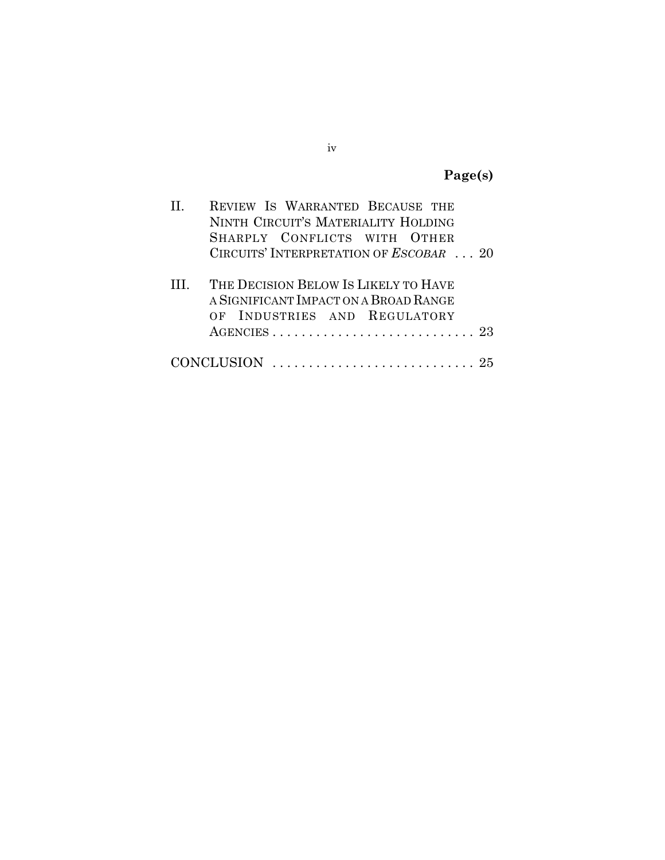# **Page(s)**

| REVIEW IS WARRANTED BECAUSE THE<br>NINTH CIRCUIT'S MATERIALITY HOLDING<br>SHARPLY CONFLICTS WITH OTHER        |
|---------------------------------------------------------------------------------------------------------------|
| CIRCUITS' INTERPRETATION OF ESCOBAR  20                                                                       |
| THE DECISION BELOW IS LIKELY TO HAVE<br>A SIGNIFICANT IMPACT ON A BROAD RANGE<br>OF INDUSTRIES AND REGULATORY |
| $CONCLUSION$                                                                                                  |

### iv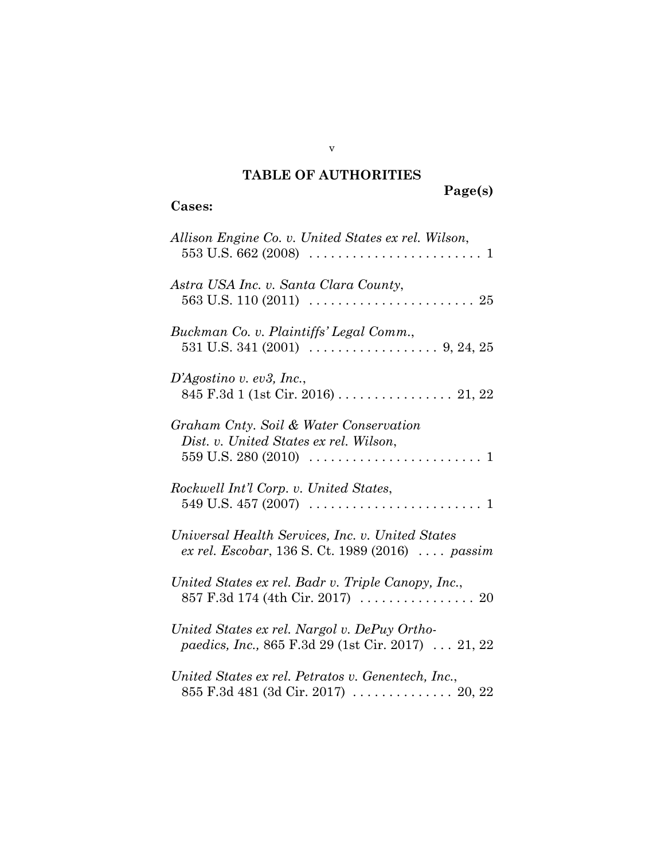# **TABLE OF AUTHORITIES**

# **Page(s)**

# **Cases:**

| Allison Engine Co. v. United States ex rel. Wilson,                                                                        |
|----------------------------------------------------------------------------------------------------------------------------|
| Astra USA Inc. v. Santa Clara County,                                                                                      |
| Buckman Co. v. Plaintiffs' Legal Comm.,                                                                                    |
| D'Agostino v. ev3, Inc.,                                                                                                   |
| Graham Cnty. Soil & Water Conservation<br>Dist. v. United States ex rel. Wilson,                                           |
| Rockwell Int'l Corp. v. United States,                                                                                     |
| Universal Health Services, Inc. v. United States<br>ex rel. Escobar, 136 S. Ct. 1989 (2016)  passim                        |
| United States ex rel. Badr v. Triple Canopy, Inc.,<br>857 F.3d 174 (4th Cir. 2017) $\ldots \ldots \ldots \ldots \ldots 20$ |
| United States ex rel. Nargol v. DePuy Ortho-<br><i>paedics, Inc., 865 F.3d 29 (1st Cir. 2017)</i> 21, 22                   |
| United States ex rel. Petratos v. Genentech, Inc.,<br>855 F.3d 481 (3d Cir. 2017)  20, 22                                  |

v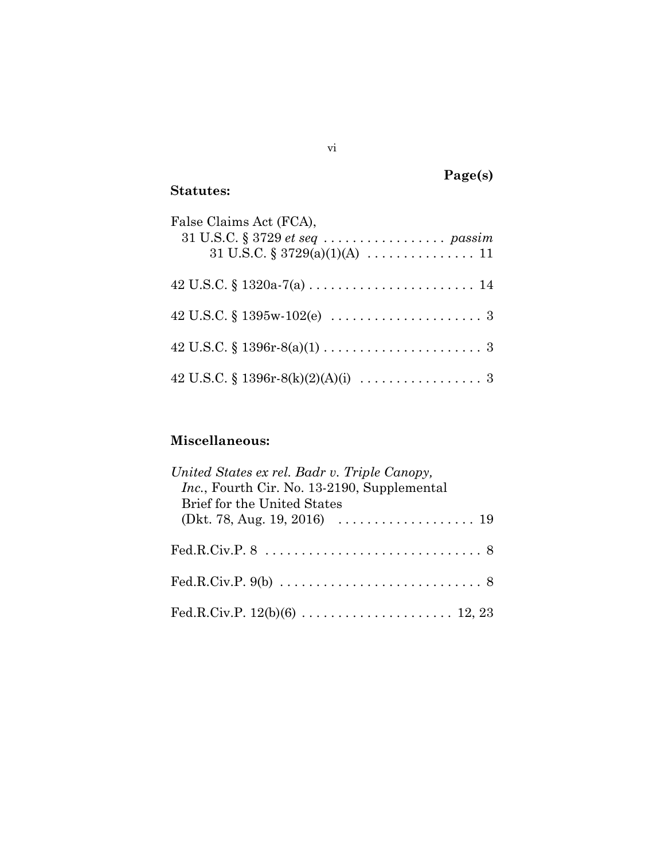# **Page(s)**

## **Statutes:**

| False Claims Act (FCA), |  |
|-------------------------|--|
|                         |  |
|                         |  |
|                         |  |
|                         |  |
|                         |  |
|                         |  |

# **Miscellaneous:**

| United States ex rel. Badr v. Triple Canopy,<br>Inc., Fourth Cir. No. 13-2190, Supplemental<br>Brief for the United States |
|----------------------------------------------------------------------------------------------------------------------------|
| (Dkt. 78, Aug. 19, 2016) $\ldots \ldots \ldots \ldots \ldots \ldots \ldots$                                                |
|                                                                                                                            |
|                                                                                                                            |
|                                                                                                                            |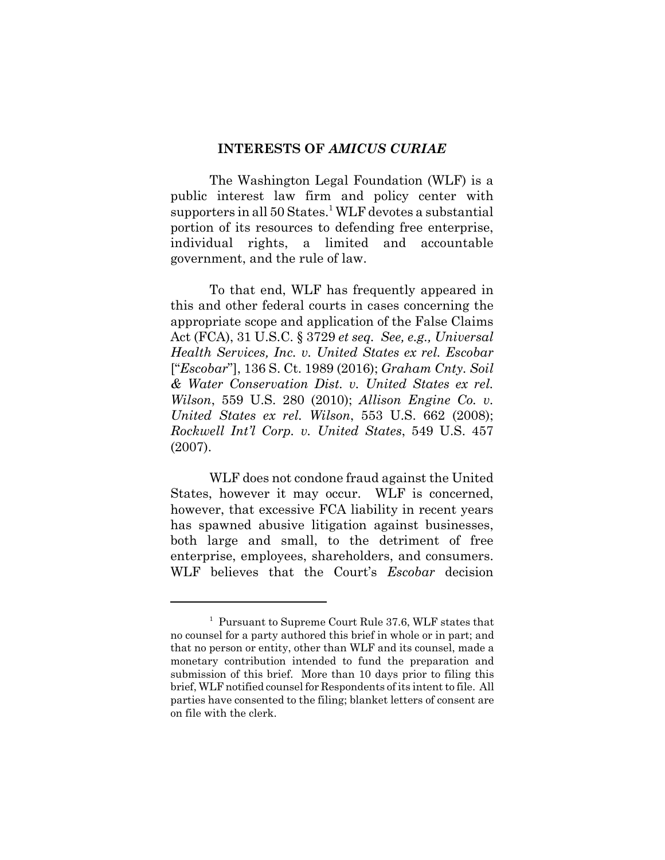#### **INTERESTS OF** *AMICUS CURIAE*

The Washington Legal Foundation (WLF) is a public interest law firm and policy center with supporters in all 50 States.<sup>1</sup> WLF devotes a substantial portion of its resources to defending free enterprise, individual rights, a limited and accountable government, and the rule of law.

To that end, WLF has frequently appeared in this and other federal courts in cases concerning the appropriate scope and application of the False Claims Act (FCA), 31 U.S.C. § 3729 *et seq. See, e.g., Universal Health Services, Inc. v. United States ex rel. Escobar* ["*Escobar*"], 136 S. Ct. 1989 (2016); *Graham Cnty. Soil & Water Conservation Dist. v. United States ex rel. Wilson*, 559 U.S. 280 (2010); *Allison Engine Co. v. United States ex rel. Wilson*, 553 U.S. 662 (2008); *Rockwell Int'l Corp. v. United States*, 549 U.S. 457 (2007).

WLF does not condone fraud against the United States, however it may occur. WLF is concerned, however, that excessive FCA liability in recent years has spawned abusive litigation against businesses, both large and small, to the detriment of free enterprise, employees, shareholders, and consumers. WLF believes that the Court's *Escobar* decision

<sup>&</sup>lt;sup>1</sup> Pursuant to Supreme Court Rule 37.6, WLF states that no counsel for a party authored this brief in whole or in part; and that no person or entity, other than WLF and its counsel, made a monetary contribution intended to fund the preparation and submission of this brief. More than 10 days prior to filing this brief, WLF notified counsel for Respondents of its intent to file. All parties have consented to the filing; blanket letters of consent are on file with the clerk.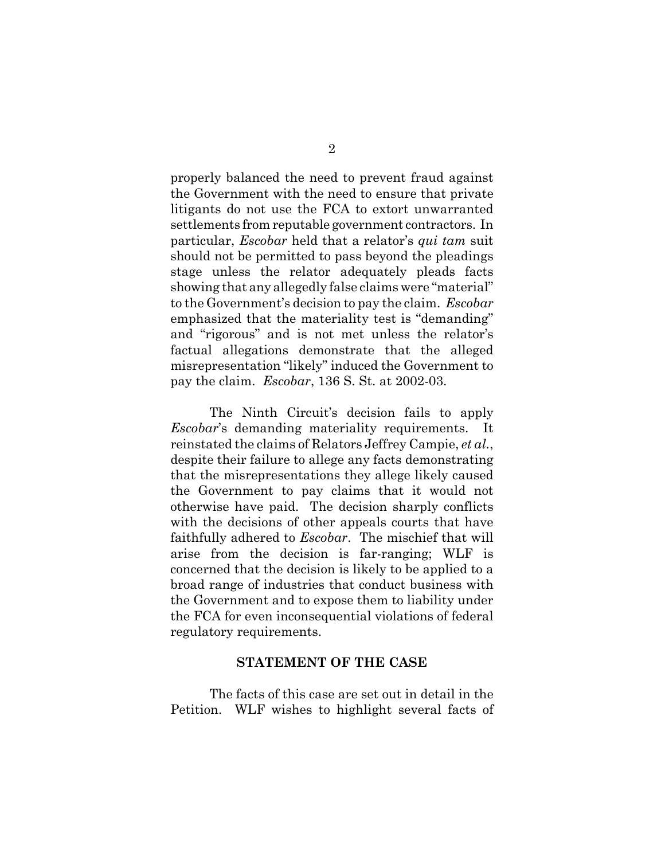properly balanced the need to prevent fraud against the Government with the need to ensure that private litigants do not use the FCA to extort unwarranted settlements from reputable government contractors. In particular, *Escobar* held that a relator's *qui tam* suit should not be permitted to pass beyond the pleadings stage unless the relator adequately pleads facts showing that any allegedly false claims were "material" to the Government's decision to pay the claim. *Escobar* emphasized that the materiality test is "demanding" and "rigorous" and is not met unless the relator's factual allegations demonstrate that the alleged misrepresentation "likely" induced the Government to pay the claim. *Escobar*, 136 S. St. at 2002-03.

The Ninth Circuit's decision fails to apply *Escobar*'s demanding materiality requirements. It reinstated the claims of Relators Jeffrey Campie, *et al.*, despite their failure to allege any facts demonstrating that the misrepresentations they allege likely caused the Government to pay claims that it would not otherwise have paid. The decision sharply conflicts with the decisions of other appeals courts that have faithfully adhered to *Escobar*. The mischief that will arise from the decision is far-ranging; WLF is concerned that the decision is likely to be applied to a broad range of industries that conduct business with the Government and to expose them to liability under the FCA for even inconsequential violations of federal regulatory requirements.

#### **STATEMENT OF THE CASE**

The facts of this case are set out in detail in the Petition. WLF wishes to highlight several facts of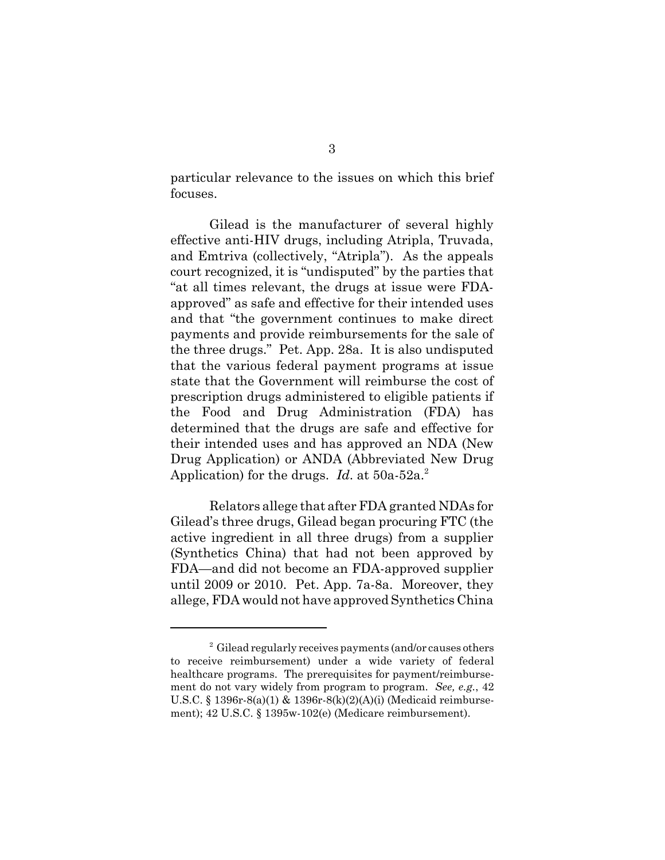particular relevance to the issues on which this brief focuses.

Gilead is the manufacturer of several highly effective anti-HIV drugs, including Atripla, Truvada, and Emtriva (collectively, "Atripla"). As the appeals court recognized, it is "undisputed" by the parties that "at all times relevant, the drugs at issue were FDAapproved" as safe and effective for their intended uses and that "the government continues to make direct payments and provide reimbursements for the sale of the three drugs." Pet. App. 28a. It is also undisputed that the various federal payment programs at issue state that the Government will reimburse the cost of prescription drugs administered to eligible patients if the Food and Drug Administration (FDA) has determined that the drugs are safe and effective for their intended uses and has approved an NDA (New Drug Application) or ANDA (Abbreviated New Drug Application) for the drugs. *Id.* at 50a-52a.<sup>2</sup>

Relators allege that after FDA granted NDAs for Gilead's three drugs, Gilead began procuring FTC (the active ingredient in all three drugs) from a supplier (Synthetics China) that had not been approved by FDA—and did not become an FDA-approved supplier until 2009 or 2010. Pet. App. 7a-8a. Moreover, they allege, FDA would not have approved Synthetics China

<sup>&</sup>lt;sup>2</sup> Gilead regularly receives payments (and/or causes others to receive reimbursement) under a wide variety of federal healthcare programs. The prerequisites for payment/reimbursement do not vary widely from program to program. *See, e.g.*, 42 U.S.C. § 1396r-8(a)(1) & 1396r-8(k)(2)(A)(i) (Medicaid reimbursement); 42 U.S.C. § 1395w-102(e) (Medicare reimbursement).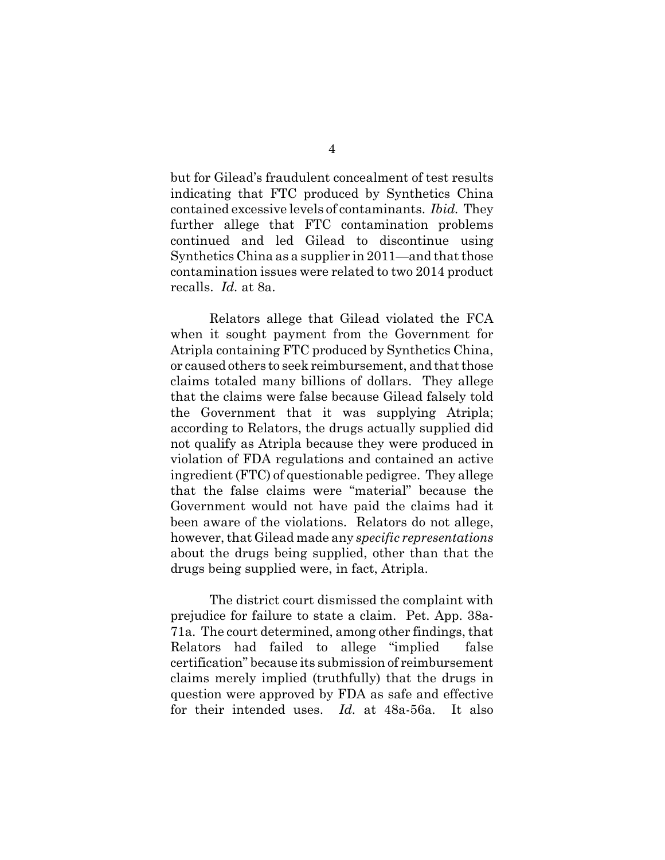but for Gilead's fraudulent concealment of test results indicating that FTC produced by Synthetics China contained excessive levels of contaminants. *Ibid.* They further allege that FTC contamination problems continued and led Gilead to discontinue using Synthetics China as a supplier in 2011—and that those contamination issues were related to two 2014 product recalls. *Id.* at 8a.

Relators allege that Gilead violated the FCA when it sought payment from the Government for Atripla containing FTC produced by Synthetics China, or caused others to seek reimbursement, and that those claims totaled many billions of dollars. They allege that the claims were false because Gilead falsely told the Government that it was supplying Atripla; according to Relators, the drugs actually supplied did not qualify as Atripla because they were produced in violation of FDA regulations and contained an active ingredient (FTC) of questionable pedigree. They allege that the false claims were "material" because the Government would not have paid the claims had it been aware of the violations. Relators do not allege, however, that Gilead made any *specific representations* about the drugs being supplied, other than that the drugs being supplied were, in fact, Atripla.

The district court dismissed the complaint with prejudice for failure to state a claim. Pet. App. 38a-71a. The court determined, among other findings, that Relators had failed to allege "implied false certification" because its submission of reimbursement claims merely implied (truthfully) that the drugs in question were approved by FDA as safe and effective for their intended uses. *Id.* at 48a-56a. It also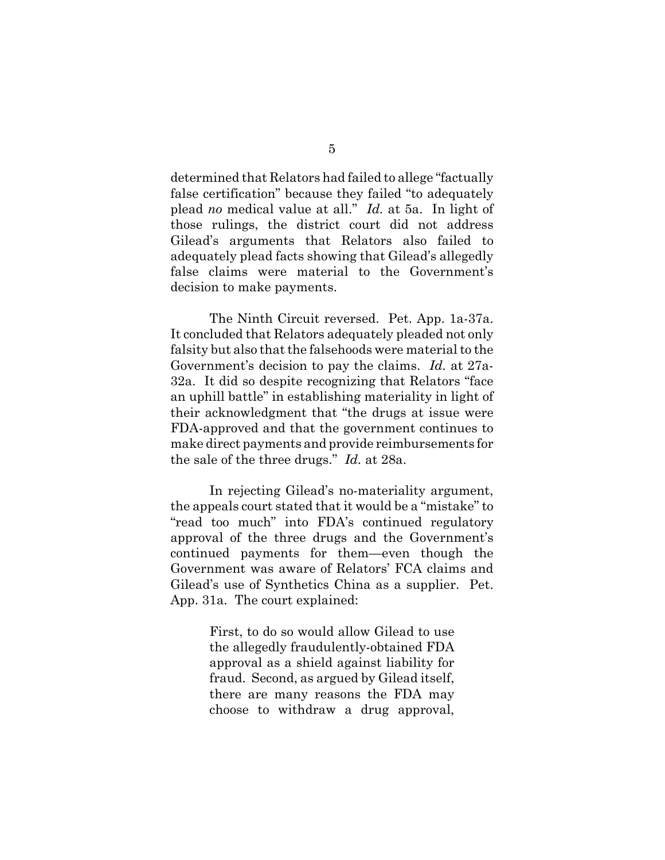determined that Relators had failed to allege "factually false certification" because they failed "to adequately plead *no* medical value at all." *Id.* at 5a. In light of those rulings, the district court did not address Gilead's arguments that Relators also failed to adequately plead facts showing that Gilead's allegedly false claims were material to the Government's decision to make payments.

The Ninth Circuit reversed. Pet. App. 1a-37a. It concluded that Relators adequately pleaded not only falsity but also that the falsehoods were material to the Government's decision to pay the claims. *Id.* at 27a-32a. It did so despite recognizing that Relators "face an uphill battle" in establishing materiality in light of their acknowledgment that "the drugs at issue were FDA-approved and that the government continues to make direct payments and provide reimbursements for the sale of the three drugs." *Id.* at 28a.

In rejecting Gilead's no-materiality argument, the appeals court stated that it would be a "mistake" to "read too much" into FDA's continued regulatory approval of the three drugs and the Government's continued payments for them—even though the Government was aware of Relators' FCA claims and Gilead's use of Synthetics China as a supplier. Pet. App. 31a. The court explained:

> First, to do so would allow Gilead to use the allegedly fraudulently-obtained FDA approval as a shield against liability for fraud. Second, as argued by Gilead itself, there are many reasons the FDA may choose to withdraw a drug approval,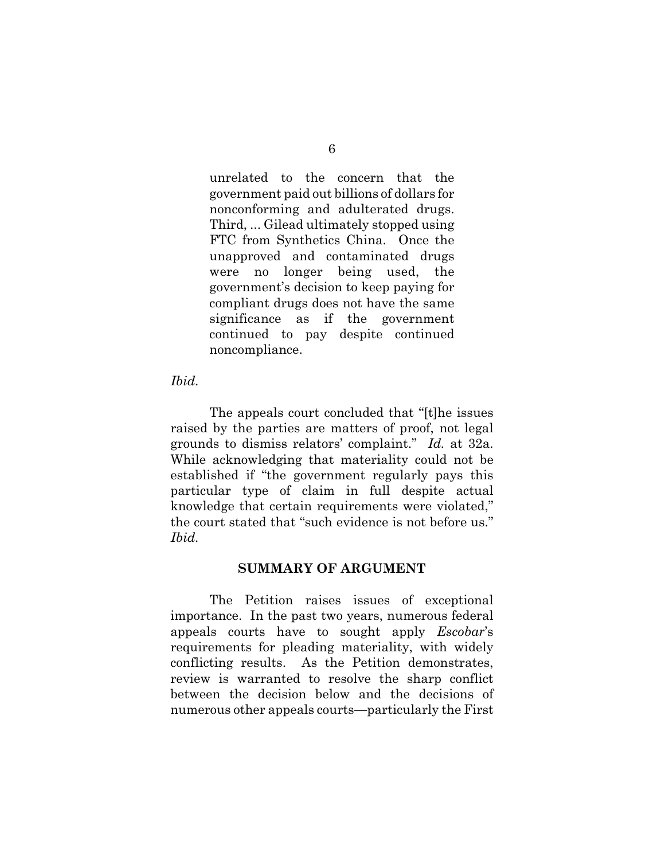unrelated to the concern that the government paid out billions of dollars for nonconforming and adulterated drugs. Third, ... Gilead ultimately stopped using FTC from Synthetics China. Once the unapproved and contaminated drugs were no longer being used, the government's decision to keep paying for compliant drugs does not have the same significance as if the government continued to pay despite continued noncompliance.

*Ibid.*

The appeals court concluded that "[t]he issues raised by the parties are matters of proof, not legal grounds to dismiss relators' complaint." *Id.* at 32a. While acknowledging that materiality could not be established if "the government regularly pays this particular type of claim in full despite actual knowledge that certain requirements were violated," the court stated that "such evidence is not before us." *Ibid.*

#### **SUMMARY OF ARGUMENT**

The Petition raises issues of exceptional importance. In the past two years, numerous federal appeals courts have to sought apply *Escobar*'s requirements for pleading materiality, with widely conflicting results. As the Petition demonstrates, review is warranted to resolve the sharp conflict between the decision below and the decisions of numerous other appeals courts—particularly the First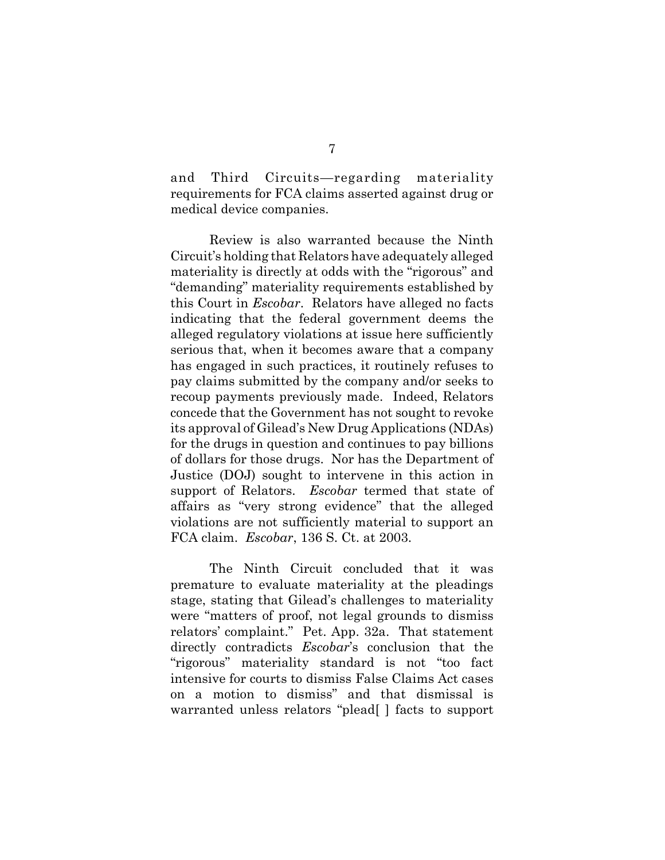and Third Circuits—regarding materiality requirements for FCA claims asserted against drug or medical device companies.

Review is also warranted because the Ninth Circuit's holding that Relators have adequately alleged materiality is directly at odds with the "rigorous" and "demanding" materiality requirements established by this Court in *Escobar*. Relators have alleged no facts indicating that the federal government deems the alleged regulatory violations at issue here sufficiently serious that, when it becomes aware that a company has engaged in such practices, it routinely refuses to pay claims submitted by the company and/or seeks to recoup payments previously made. Indeed, Relators concede that the Government has not sought to revoke its approval of Gilead's New Drug Applications (NDAs) for the drugs in question and continues to pay billions of dollars for those drugs. Nor has the Department of Justice (DOJ) sought to intervene in this action in support of Relators. *Escobar* termed that state of affairs as "very strong evidence" that the alleged violations are not sufficiently material to support an FCA claim. *Escobar*, 136 S. Ct. at 2003.

The Ninth Circuit concluded that it was premature to evaluate materiality at the pleadings stage, stating that Gilead's challenges to materiality were "matters of proof, not legal grounds to dismiss relators' complaint." Pet. App. 32a. That statement directly contradicts *Escobar*'s conclusion that the "rigorous" materiality standard is not "too fact intensive for courts to dismiss False Claims Act cases on a motion to dismiss" and that dismissal is warranted unless relators "plead[ ] facts to support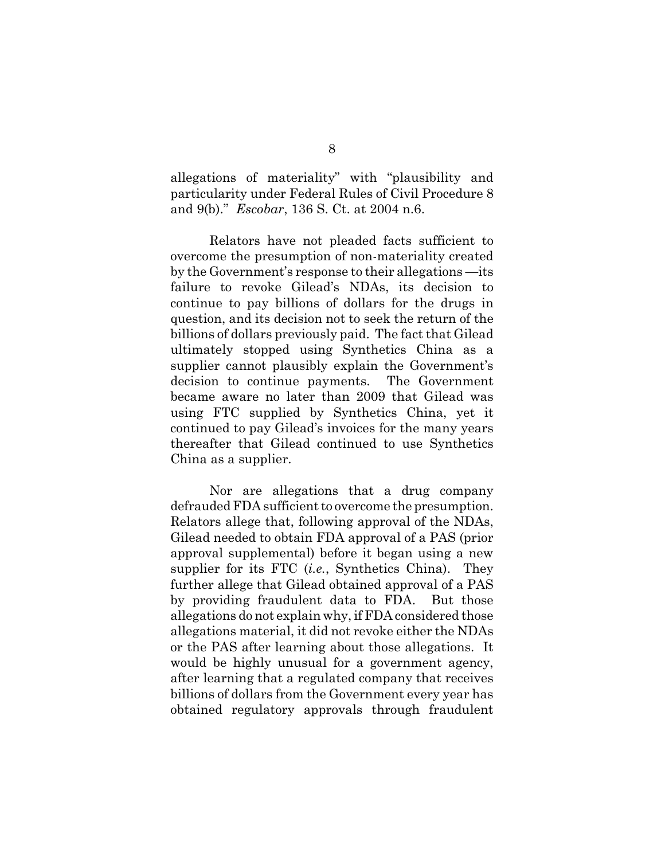allegations of materiality" with "plausibility and particularity under Federal Rules of Civil Procedure 8 and 9(b)." *Escobar*, 136 S. Ct. at 2004 n.6.

Relators have not pleaded facts sufficient to overcome the presumption of non-materiality created by the Government's response to their allegations —its failure to revoke Gilead's NDAs, its decision to continue to pay billions of dollars for the drugs in question, and its decision not to seek the return of the billions of dollars previously paid. The fact that Gilead ultimately stopped using Synthetics China as a supplier cannot plausibly explain the Government's decision to continue payments. The Government became aware no later than 2009 that Gilead was using FTC supplied by Synthetics China, yet it continued to pay Gilead's invoices for the many years thereafter that Gilead continued to use Synthetics China as a supplier.

Nor are allegations that a drug company defrauded FDA sufficient to overcome the presumption. Relators allege that, following approval of the NDAs, Gilead needed to obtain FDA approval of a PAS (prior approval supplemental) before it began using a new supplier for its FTC (*i.e.*, Synthetics China). They further allege that Gilead obtained approval of a PAS by providing fraudulent data to FDA. But those allegations do not explain why, if FDA considered those allegations material, it did not revoke either the NDAs or the PAS after learning about those allegations. It would be highly unusual for a government agency, after learning that a regulated company that receives billions of dollars from the Government every year has obtained regulatory approvals through fraudulent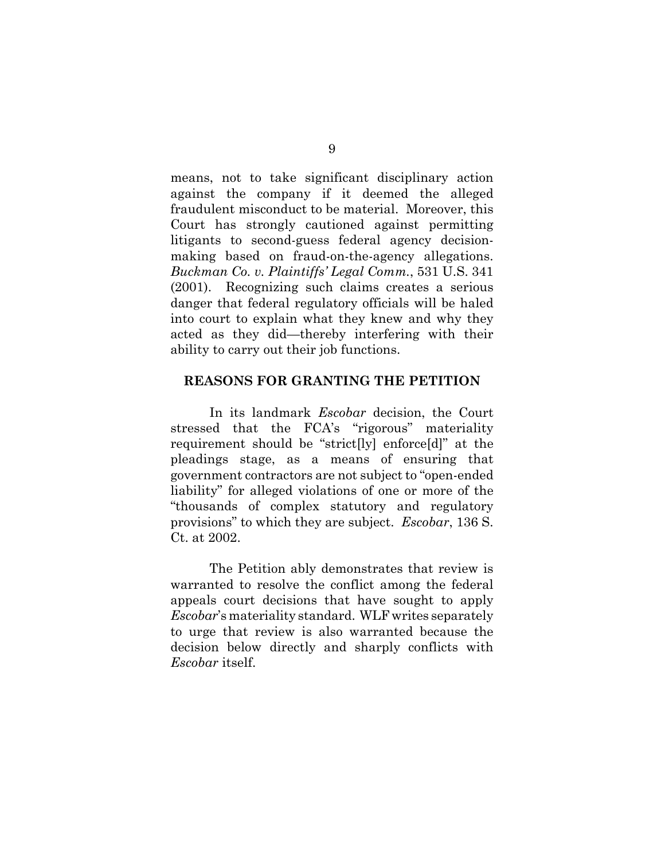means, not to take significant disciplinary action against the company if it deemed the alleged fraudulent misconduct to be material. Moreover, this Court has strongly cautioned against permitting litigants to second-guess federal agency decisionmaking based on fraud-on-the-agency allegations. *Buckman Co. v. Plaintiffs' Legal Comm.*, 531 U.S. 341 (2001). Recognizing such claims creates a serious danger that federal regulatory officials will be haled into court to explain what they knew and why they acted as they did—thereby interfering with their ability to carry out their job functions.

#### **REASONS FOR GRANTING THE PETITION**

In its landmark *Escobar* decision, the Court stressed that the FCA's "rigorous" materiality requirement should be "strict[ly] enforce[d]" at the pleadings stage, as a means of ensuring that government contractors are not subject to "open-ended liability" for alleged violations of one or more of the "thousands of complex statutory and regulatory provisions" to which they are subject. *Escobar*, 136 S. Ct. at 2002.

The Petition ably demonstrates that review is warranted to resolve the conflict among the federal appeals court decisions that have sought to apply *Escobar*'s materiality standard. WLF writes separately to urge that review is also warranted because the decision below directly and sharply conflicts with *Escobar* itself.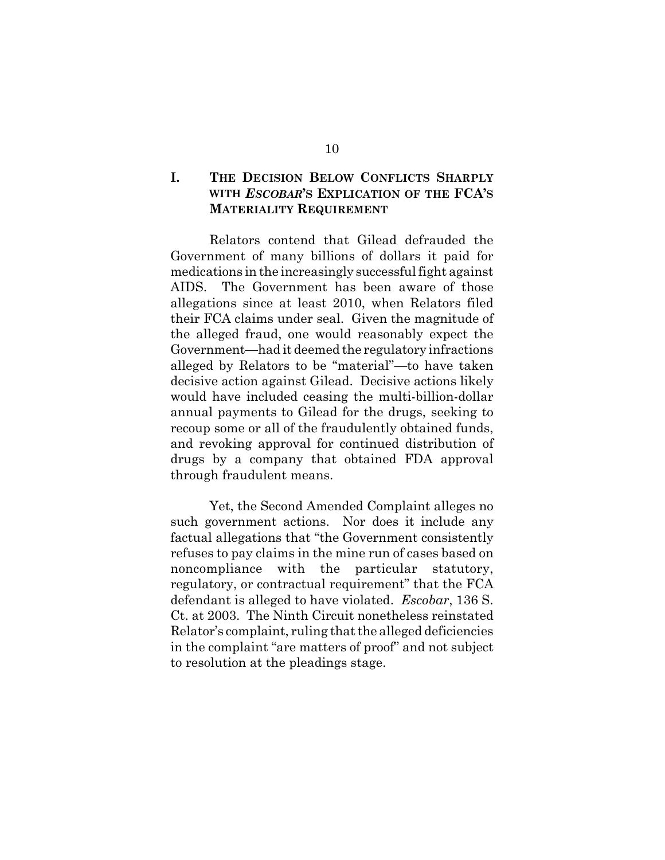## **I. THE DECISION BELOW CONFLICTS SHARPLY WITH** *ESCOBAR***'S EXPLICATION OF THE FCA'S MATERIALITY REQUIREMENT**

Relators contend that Gilead defrauded the Government of many billions of dollars it paid for medications in the increasingly successful fight against AIDS. The Government has been aware of those allegations since at least 2010, when Relators filed their FCA claims under seal. Given the magnitude of the alleged fraud, one would reasonably expect the Government—had it deemed the regulatory infractions alleged by Relators to be "material"—to have taken decisive action against Gilead. Decisive actions likely would have included ceasing the multi-billion-dollar annual payments to Gilead for the drugs, seeking to recoup some or all of the fraudulently obtained funds, and revoking approval for continued distribution of drugs by a company that obtained FDA approval through fraudulent means.

Yet, the Second Amended Complaint alleges no such government actions. Nor does it include any factual allegations that "the Government consistently refuses to pay claims in the mine run of cases based on noncompliance with the particular statutory, regulatory, or contractual requirement" that the FCA defendant is alleged to have violated. *Escobar*, 136 S. Ct. at 2003. The Ninth Circuit nonetheless reinstated Relator's complaint, ruling that the alleged deficiencies in the complaint "are matters of proof" and not subject to resolution at the pleadings stage.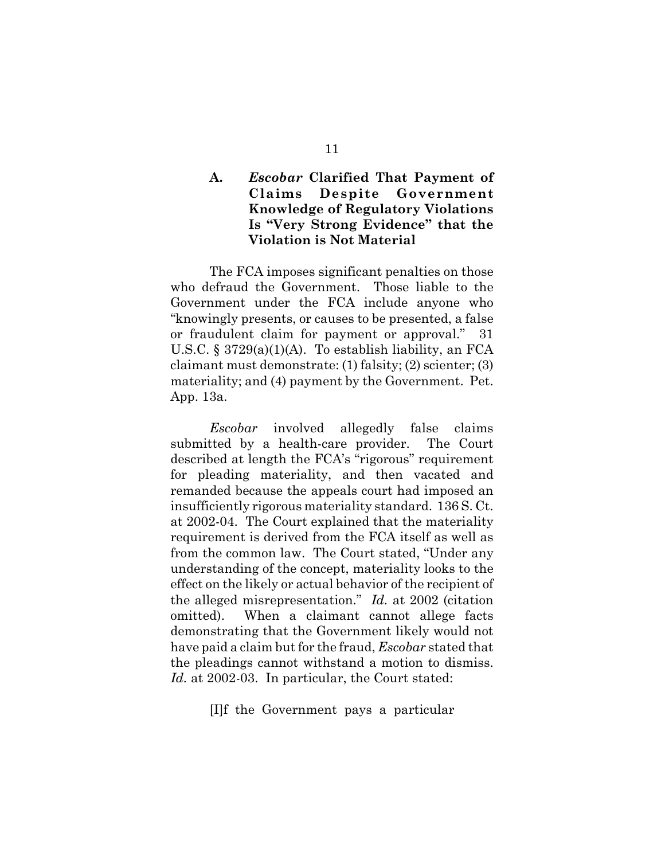## **A.** *Escobar* **Clarified That Payment of Claims Despite Government Knowledge of Regulatory Violations Is "Very Strong Evidence" that the Violation is Not Material**

The FCA imposes significant penalties on those who defraud the Government. Those liable to the Government under the FCA include anyone who "knowingly presents, or causes to be presented, a false or fraudulent claim for payment or approval." 31 U.S.C. § 3729(a)(1)(A). To establish liability, an FCA claimant must demonstrate: (1) falsity; (2) scienter; (3) materiality; and (4) payment by the Government. Pet. App. 13a.

*Escobar* involved allegedly false claims submitted by a health-care provider. The Court described at length the FCA's "rigorous" requirement for pleading materiality, and then vacated and remanded because the appeals court had imposed an insufficiently rigorous materiality standard. 136 S. Ct. at 2002-04. The Court explained that the materiality requirement is derived from the FCA itself as well as from the common law. The Court stated, "Under any understanding of the concept, materiality looks to the effect on the likely or actual behavior of the recipient of the alleged misrepresentation." *Id.* at 2002 (citation omitted). When a claimant cannot allege facts demonstrating that the Government likely would not have paid a claim but for the fraud, *Escobar* stated that the pleadings cannot withstand a motion to dismiss. *Id.* at 2002-03. In particular, the Court stated:

[I]f the Government pays a particular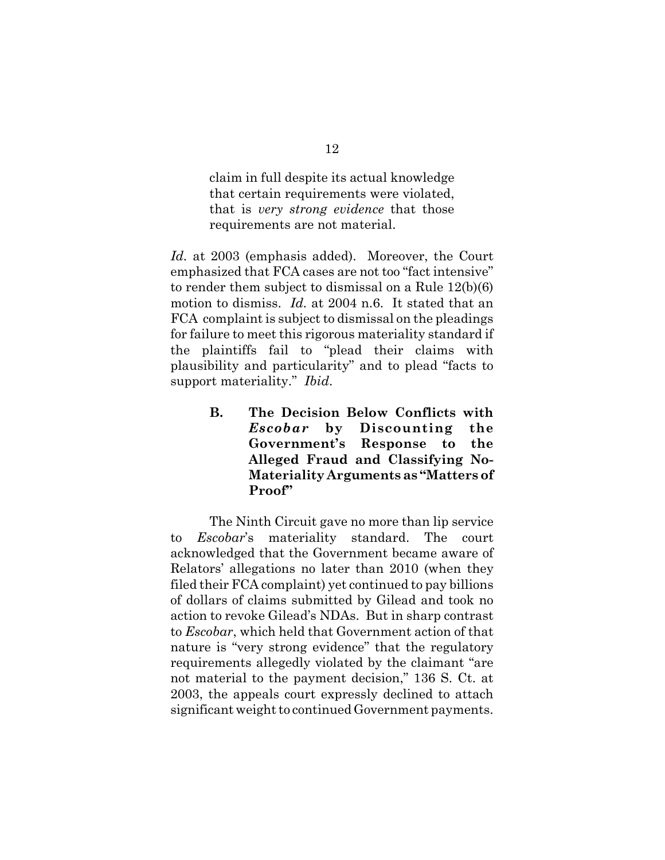claim in full despite its actual knowledge that certain requirements were violated, that is *very strong evidence* that those requirements are not material.

*Id.* at 2003 (emphasis added). Moreover, the Court emphasized that FCA cases are not too "fact intensive" to render them subject to dismissal on a Rule 12(b)(6) motion to dismiss. *Id.* at 2004 n.6. It stated that an FCA complaint is subject to dismissal on the pleadings for failure to meet this rigorous materiality standard if the plaintiffs fail to "plead their claims with plausibility and particularity" and to plead "facts to support materiality." *Ibid*.

> **B. The Decision Below Conflicts with** *Escobar* **by Discounting the Government's Response to the Alleged Fraud and Classifying No-Materiality Arguments as "Matters of Proof"**

The Ninth Circuit gave no more than lip service to *Escobar*'s materiality standard. The court acknowledged that the Government became aware of Relators' allegations no later than 2010 (when they filed their FCA complaint) yet continued to pay billions of dollars of claims submitted by Gilead and took no action to revoke Gilead's NDAs. But in sharp contrast to *Escobar*, which held that Government action of that nature is "very strong evidence" that the regulatory requirements allegedly violated by the claimant "are not material to the payment decision," 136 S. Ct. at 2003, the appeals court expressly declined to attach significant weight to continued Government payments.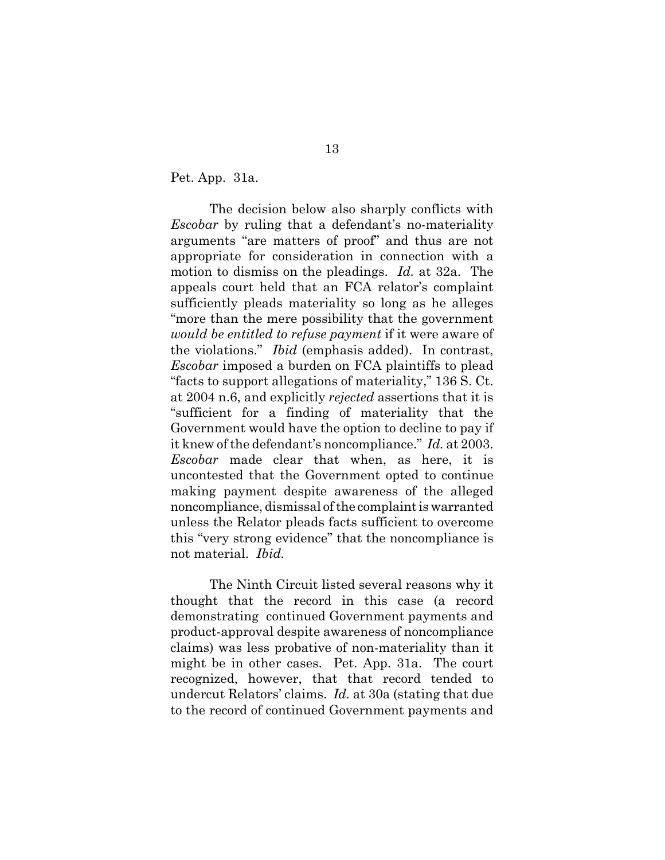Pet. App. 31a.

The decision below also sharply conflicts with *Escobar* by ruling that a defendant's no-materiality arguments "are matters of proof" and thus are not appropriate for consideration in connection with a motion to dismiss on the pleadings. *Id.* at 32a. The appeals court held that an FCA relator's complaint sufficiently pleads materiality so long as he alleges "more than the mere possibility that the government *would be entitled to refuse payment* if it were aware of the violations." *Ibid* (emphasis added). In contrast, *Escobar* imposed a burden on FCA plaintiffs to plead "facts to support allegations of materiality," 136 S. Ct. at 2004 n.6, and explicitly *rejected* assertions that it is "sufficient for a finding of materiality that the Government would have the option to decline to pay if it knew of the defendant's noncompliance." *Id.* at 2003. *Escobar* made clear that when, as here, it is uncontested that the Government opted to continue making payment despite awareness of the alleged noncompliance, dismissal of the complaint is warranted unless the Relator pleads facts sufficient to overcome this "very strong evidence" that the noncompliance is not material. *Ibid.*

The Ninth Circuit listed several reasons why it thought that the record in this case (a record demonstrating continued Government payments and product-approval despite awareness of noncompliance claims) was less probative of non-materiality than it might be in other cases. Pet. App. 31a. The court recognized, however, that that record tended to undercut Relators' claims. *Id.* at 30a (stating that due to the record of continued Government payments and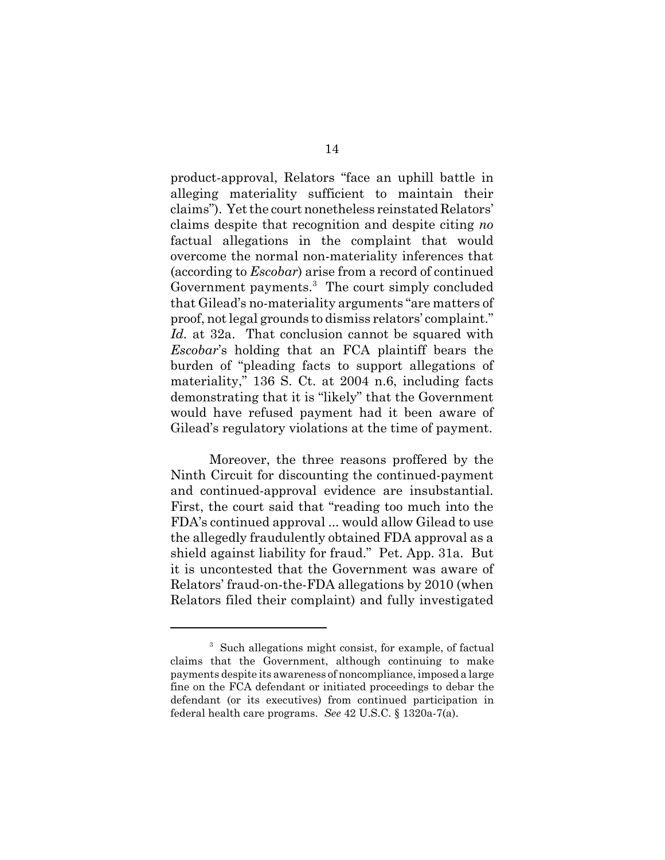product-approval, Relators "face an uphill battle in alleging materiality sufficient to maintain their claims"). Yet the court nonetheless reinstated Relators' claims despite that recognition and despite citing *no* factual allegations in the complaint that would overcome the normal non-materiality inferences that (according to *Escobar*) arise from a record of continued Government payments.<sup>3</sup> The court simply concluded that Gilead's no-materiality arguments "are matters of proof, not legal grounds to dismiss relators' complaint." *Id.* at 32a. That conclusion cannot be squared with *Escobar*'s holding that an FCA plaintiff bears the burden of "pleading facts to support allegations of materiality," 136 S. Ct. at 2004 n.6, including facts demonstrating that it is "likely" that the Government would have refused payment had it been aware of Gilead's regulatory violations at the time of payment.

Moreover, the three reasons proffered by the Ninth Circuit for discounting the continued-payment and continued-approval evidence are insubstantial. First, the court said that "reading too much into the FDA's continued approval ... would allow Gilead to use the allegedly fraudulently obtained FDA approval as a shield against liability for fraud." Pet. App. 31a. But it is uncontested that the Government was aware of Relators' fraud-on-the-FDA allegations by 2010 (when Relators filed their complaint) and fully investigated

<sup>&</sup>lt;sup>3</sup> Such allegations might consist, for example, of factual claims that the Government, although continuing to make payments despite its awareness of noncompliance, imposed a large fine on the FCA defendant or initiated proceedings to debar the defendant (or its executives) from continued participation in federal health care programs. *See* 42 U.S.C. § 1320a-7(a).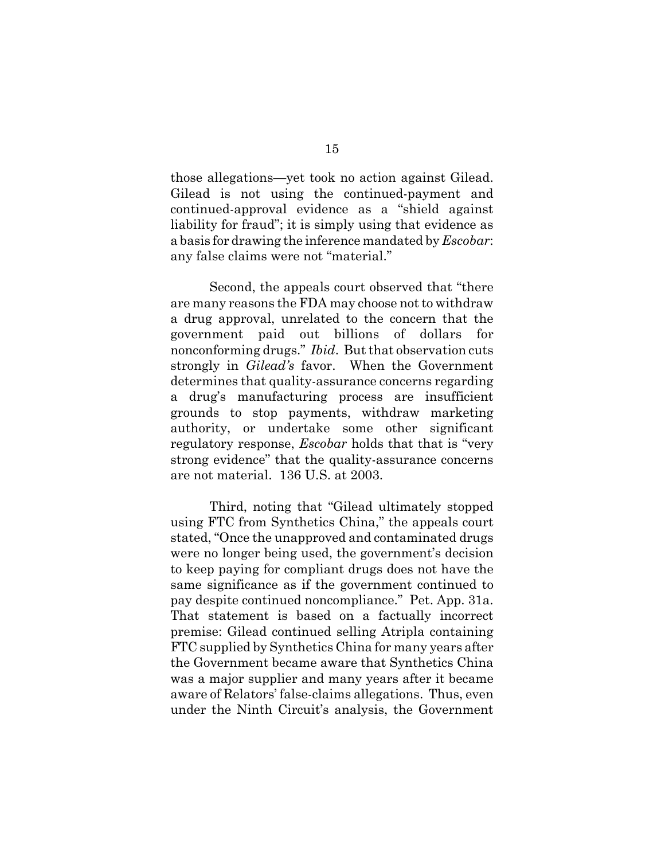those allegations—yet took no action against Gilead. Gilead is not using the continued-payment and continued-approval evidence as a "shield against liability for fraud"; it is simply using that evidence as a basis for drawing the inference mandated by *Escobar*: any false claims were not "material."

Second, the appeals court observed that "there are many reasons the FDA may choose not to withdraw a drug approval, unrelated to the concern that the government paid out billions of dollars for nonconforming drugs." *Ibid*. But that observation cuts strongly in *Gilead's* favor. When the Government determines that quality-assurance concerns regarding a drug's manufacturing process are insufficient grounds to stop payments, withdraw marketing authority, or undertake some other significant regulatory response, *Escobar* holds that that is "very strong evidence" that the quality-assurance concerns are not material. 136 U.S. at 2003.

Third, noting that "Gilead ultimately stopped using FTC from Synthetics China," the appeals court stated, "Once the unapproved and contaminated drugs were no longer being used, the government's decision to keep paying for compliant drugs does not have the same significance as if the government continued to pay despite continued noncompliance." Pet. App. 31a. That statement is based on a factually incorrect premise: Gilead continued selling Atripla containing FTC supplied by Synthetics China for many years after the Government became aware that Synthetics China was a major supplier and many years after it became aware of Relators' false-claims allegations. Thus, even under the Ninth Circuit's analysis, the Government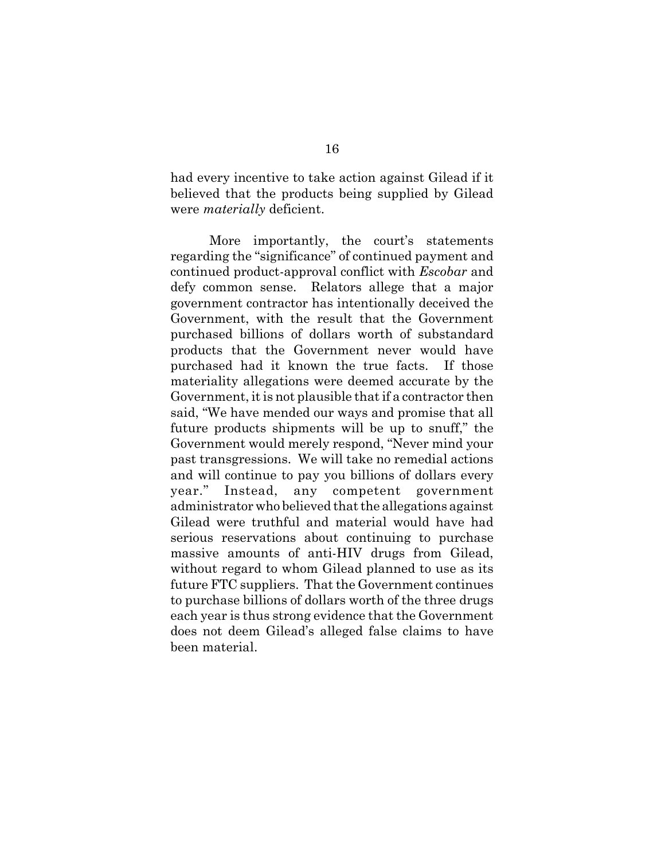had every incentive to take action against Gilead if it believed that the products being supplied by Gilead were *materially* deficient.

More importantly, the court's statements regarding the "significance" of continued payment and continued product-approval conflict with *Escobar* and defy common sense. Relators allege that a major government contractor has intentionally deceived the Government, with the result that the Government purchased billions of dollars worth of substandard products that the Government never would have purchased had it known the true facts. If those materiality allegations were deemed accurate by the Government, it is not plausible that if a contractor then said, "We have mended our ways and promise that all future products shipments will be up to snuff," the Government would merely respond, "Never mind your past transgressions. We will take no remedial actions and will continue to pay you billions of dollars every year." Instead, any competent government administrator who believed that the allegations against Gilead were truthful and material would have had serious reservations about continuing to purchase massive amounts of anti-HIV drugs from Gilead, without regard to whom Gilead planned to use as its future FTC suppliers. That the Government continues to purchase billions of dollars worth of the three drugs each year is thus strong evidence that the Government does not deem Gilead's alleged false claims to have been material.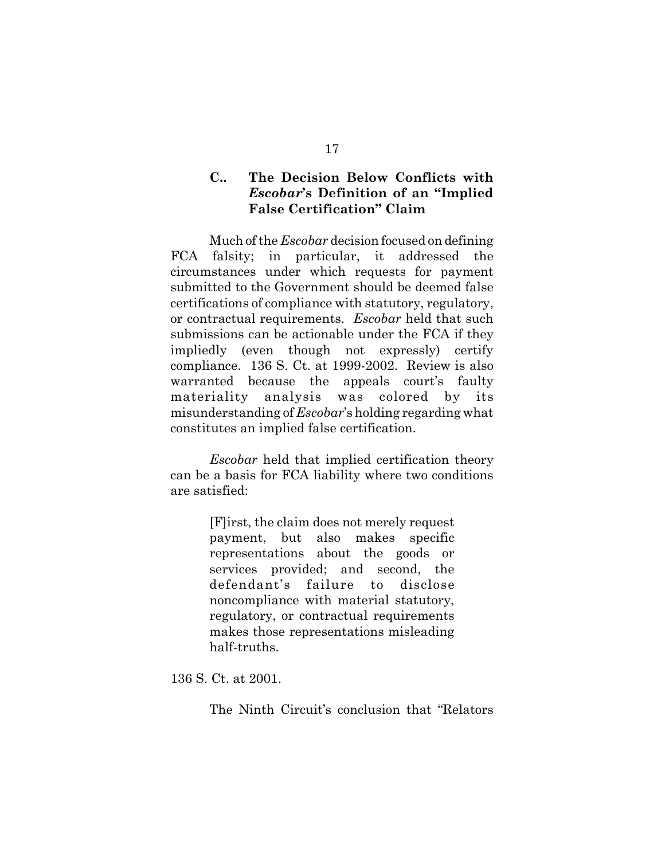## **C.. The Decision Below Conflicts with** *Escobar***'s Definition of an "Implied False Certification" Claim**

Much of the *Escobar* decision focused on defining FCA falsity; in particular, it addressed the circumstances under which requests for payment submitted to the Government should be deemed false certifications of compliance with statutory, regulatory, or contractual requirements. *Escobar* held that such submissions can be actionable under the FCA if they impliedly (even though not expressly) certify compliance. 136 S. Ct. at 1999-2002. Review is also warranted because the appeals court's faulty materiality analysis was colored by its misunderstanding of *Escobar*'s holding regarding what constitutes an implied false certification.

*Escobar* held that implied certification theory can be a basis for FCA liability where two conditions are satisfied:

> [F]irst, the claim does not merely request payment, but also makes specific representations about the goods or services provided; and second, the defendant's failure to disclose noncompliance with material statutory, regulatory, or contractual requirements makes those representations misleading half-truths.

136 S. Ct. at 2001.

The Ninth Circuit's conclusion that "Relators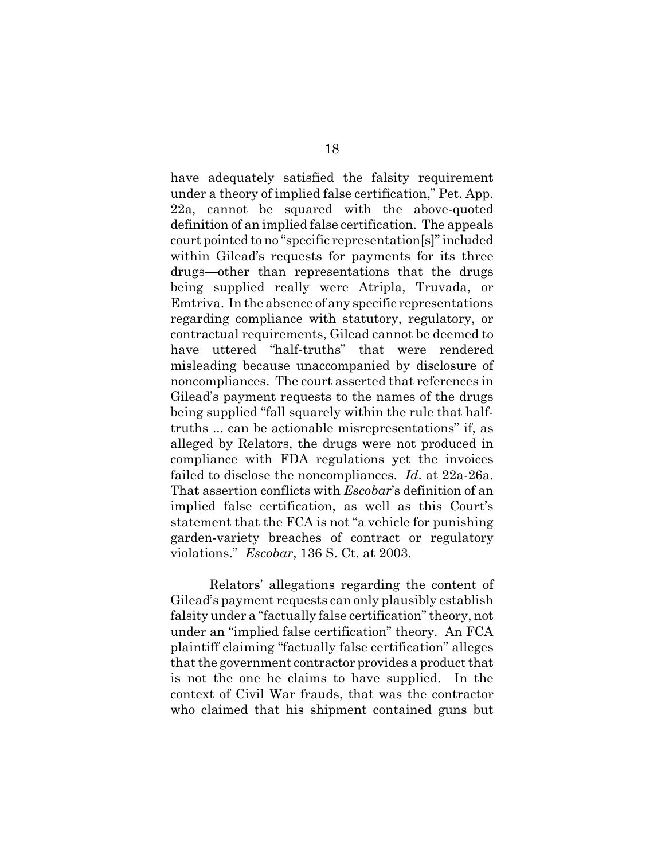have adequately satisfied the falsity requirement under a theory of implied false certification," Pet. App. 22a, cannot be squared with the above-quoted definition of an implied false certification. The appeals court pointed to no "specific representation[s]" included within Gilead's requests for payments for its three drugs—other than representations that the drugs being supplied really were Atripla, Truvada, or Emtriva. In the absence of any specific representations regarding compliance with statutory, regulatory, or contractual requirements, Gilead cannot be deemed to have uttered "half-truths" that were rendered misleading because unaccompanied by disclosure of noncompliances. The court asserted that references in Gilead's payment requests to the names of the drugs being supplied "fall squarely within the rule that halftruths ... can be actionable misrepresentations" if, as alleged by Relators, the drugs were not produced in compliance with FDA regulations yet the invoices failed to disclose the noncompliances. *Id*. at 22a-26a. That assertion conflicts with *Escobar*'s definition of an implied false certification, as well as this Court's statement that the FCA is not "a vehicle for punishing garden-variety breaches of contract or regulatory violations." *Escobar*, 136 S. Ct. at 2003.

Relators' allegations regarding the content of Gilead's payment requests can only plausibly establish falsity under a "factually false certification" theory, not under an "implied false certification" theory. An FCA plaintiff claiming "factually false certification" alleges that the government contractor provides a product that is not the one he claims to have supplied. In the context of Civil War frauds, that was the contractor who claimed that his shipment contained guns but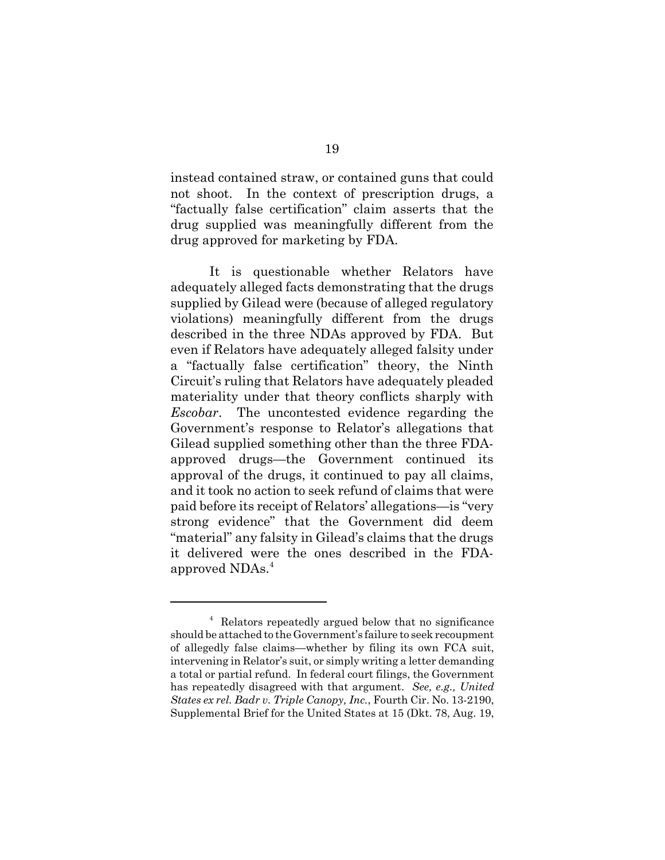instead contained straw, or contained guns that could not shoot. In the context of prescription drugs, a "factually false certification" claim asserts that the drug supplied was meaningfully different from the drug approved for marketing by FDA.

It is questionable whether Relators have adequately alleged facts demonstrating that the drugs supplied by Gilead were (because of alleged regulatory violations) meaningfully different from the drugs described in the three NDAs approved by FDA. But even if Relators have adequately alleged falsity under a "factually false certification" theory, the Ninth Circuit's ruling that Relators have adequately pleaded materiality under that theory conflicts sharply with *Escobar*. The uncontested evidence regarding the Government's response to Relator's allegations that Gilead supplied something other than the three FDAapproved drugs—the Government continued its approval of the drugs, it continued to pay all claims, and it took no action to seek refund of claims that were paid before its receipt of Relators' allegations—is "very strong evidence" that the Government did deem "material" any falsity in Gilead's claims that the drugs it delivered were the ones described in the FDAapproved NDAs.<sup>4</sup>

<sup>4</sup> Relators repeatedly argued below that no significance should be attached to the Government's failure to seek recoupment of allegedly false claims—whether by filing its own FCA suit, intervening in Relator's suit, or simply writing a letter demanding a total or partial refund. In federal court filings, the Government has repeatedly disagreed with that argument. *See, e.g., United States ex rel. Badr v. Triple Canopy, Inc.*, Fourth Cir. No. 13-2190, Supplemental Brief for the United States at 15 (Dkt. 78, Aug. 19,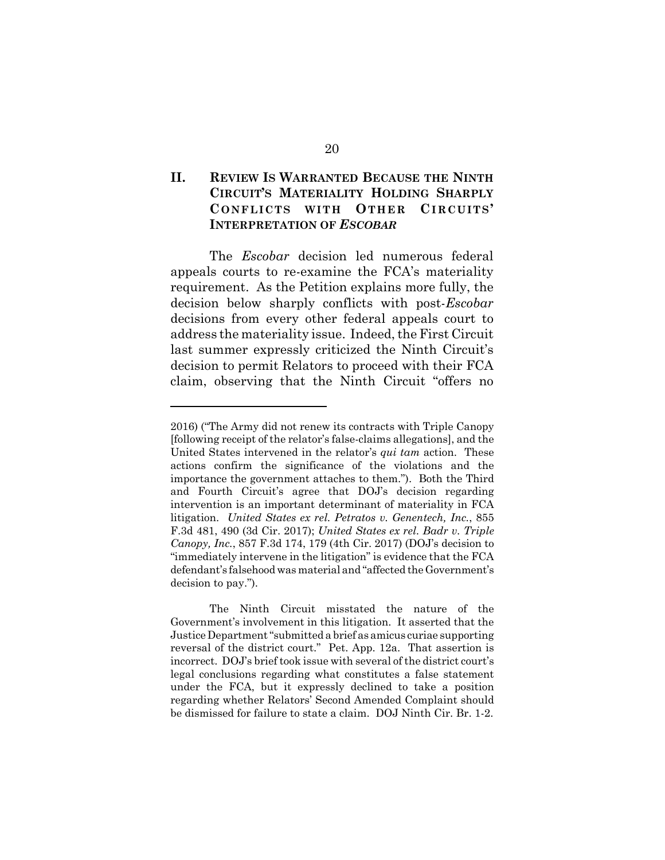### **II. REVIEW IS WARRANTED BECAUSE THE NINTH CIRCUIT'S MATERIALITY HOLDING SHARPLY CONFLICTS WITH OTHER CIRCUITS' INTERPRETATION OF** *ESCOBAR*

The *Escobar* decision led numerous federal appeals courts to re-examine the FCA's materiality requirement. As the Petition explains more fully, the decision below sharply conflicts with post-*Escobar* decisions from every other federal appeals court to address the materiality issue. Indeed, the First Circuit last summer expressly criticized the Ninth Circuit's decision to permit Relators to proceed with their FCA claim, observing that the Ninth Circuit "offers no

<sup>2016) (&</sup>quot;The Army did not renew its contracts with Triple Canopy [following receipt of the relator's false-claims allegations], and the United States intervened in the relator's *qui tam* action. These actions confirm the significance of the violations and the importance the government attaches to them."). Both the Third and Fourth Circuit's agree that DOJ's decision regarding intervention is an important determinant of materiality in FCA litigation. *United States ex rel. Petratos v. Genentech, Inc.*, 855 F.3d 481, 490 (3d Cir. 2017); *United States ex rel. Badr v. Triple Canopy, Inc.*, 857 F.3d 174, 179 (4th Cir. 2017) (DOJ's decision to "immediately intervene in the litigation" is evidence that the FCA defendant's falsehood was material and "affected the Government's decision to pay.").

The Ninth Circuit misstated the nature of the Government's involvement in this litigation. It asserted that the Justice Department "submitted a brief as amicus curiae supporting reversal of the district court." Pet. App. 12a. That assertion is incorrect. DOJ's brief took issue with several of the district court's legal conclusions regarding what constitutes a false statement under the FCA, but it expressly declined to take a position regarding whether Relators' Second Amended Complaint should be dismissed for failure to state a claim. DOJ Ninth Cir. Br. 1-2.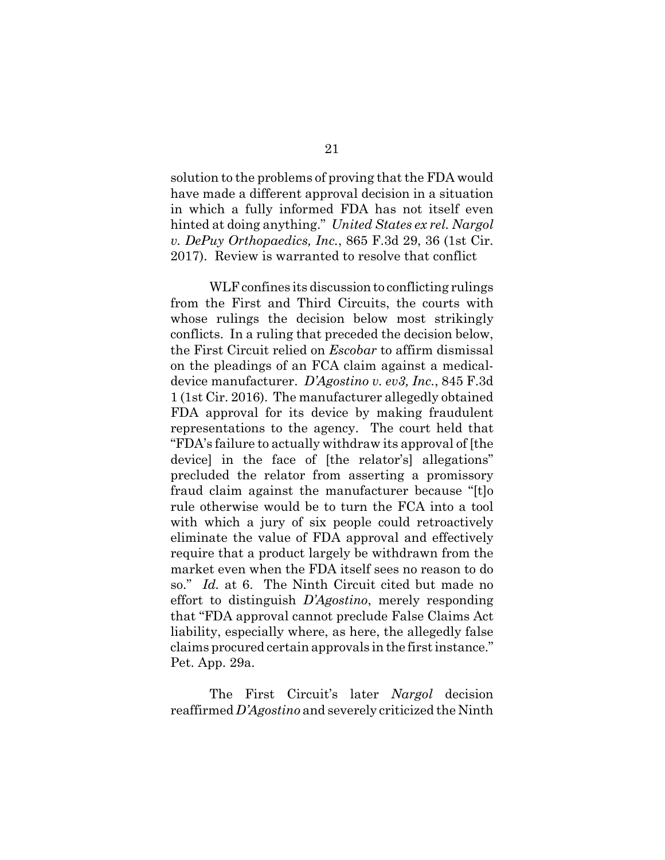solution to the problems of proving that the FDA would have made a different approval decision in a situation in which a fully informed FDA has not itself even hinted at doing anything." *United States ex rel. Nargol v. DePuy Orthopaedics, Inc.*, 865 F.3d 29, 36 (1st Cir. 2017). Review is warranted to resolve that conflict

WLF confines its discussion to conflicting rulings from the First and Third Circuits, the courts with whose rulings the decision below most strikingly conflicts. In a ruling that preceded the decision below, the First Circuit relied on *Escobar* to affirm dismissal on the pleadings of an FCA claim against a medicaldevice manufacturer. *D'Agostino v. ev3, Inc.*, 845 F.3d 1 (1st Cir. 2016). The manufacturer allegedly obtained FDA approval for its device by making fraudulent representations to the agency. The court held that "FDA's failure to actually withdraw its approval of [the device] in the face of [the relator's] allegations" precluded the relator from asserting a promissory fraud claim against the manufacturer because "[t]o rule otherwise would be to turn the FCA into a tool with which a jury of six people could retroactively eliminate the value of FDA approval and effectively require that a product largely be withdrawn from the market even when the FDA itself sees no reason to do so." *Id.* at 6. The Ninth Circuit cited but made no effort to distinguish *D'Agostino*, merely responding that "FDA approval cannot preclude False Claims Act liability, especially where, as here, the allegedly false claims procured certain approvals in the first instance." Pet. App. 29a.

The First Circuit's later *Nargol* decision reaffirmed *D'Agostino* and severely criticized the Ninth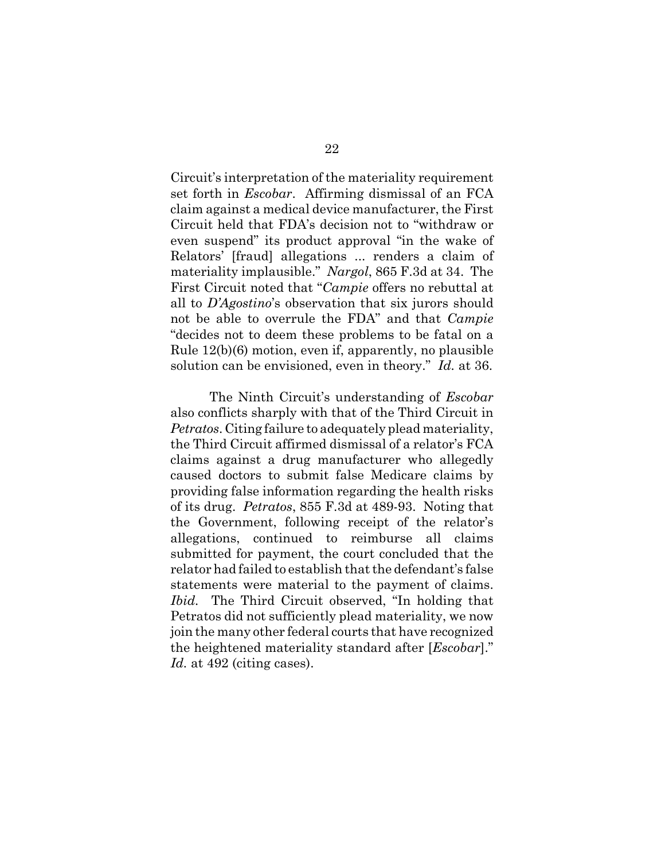Circuit's interpretation of the materiality requirement set forth in *Escobar*. Affirming dismissal of an FCA claim against a medical device manufacturer, the First Circuit held that FDA's decision not to "withdraw or even suspend" its product approval "in the wake of Relators' [fraud] allegations ... renders a claim of materiality implausible." *Nargol*, 865 F.3d at 34. The First Circuit noted that "*Campie* offers no rebuttal at all to *D'Agostino*'s observation that six jurors should not be able to overrule the FDA" and that *Campie* "decides not to deem these problems to be fatal on a Rule 12(b)(6) motion, even if, apparently, no plausible solution can be envisioned, even in theory." *Id.* at 36.

The Ninth Circuit's understanding of *Escobar* also conflicts sharply with that of the Third Circuit in *Petratos*. Citing failure to adequately plead materiality, the Third Circuit affirmed dismissal of a relator's FCA claims against a drug manufacturer who allegedly caused doctors to submit false Medicare claims by providing false information regarding the health risks of its drug. *Petratos*, 855 F.3d at 489-93. Noting that the Government, following receipt of the relator's allegations, continued to reimburse all claims submitted for payment, the court concluded that the relator had failed to establish that the defendant's false statements were material to the payment of claims. *Ibid.* The Third Circuit observed, "In holding that Petratos did not sufficiently plead materiality, we now join the many other federal courts that have recognized the heightened materiality standard after [*Escobar*]." *Id.* at 492 (citing cases).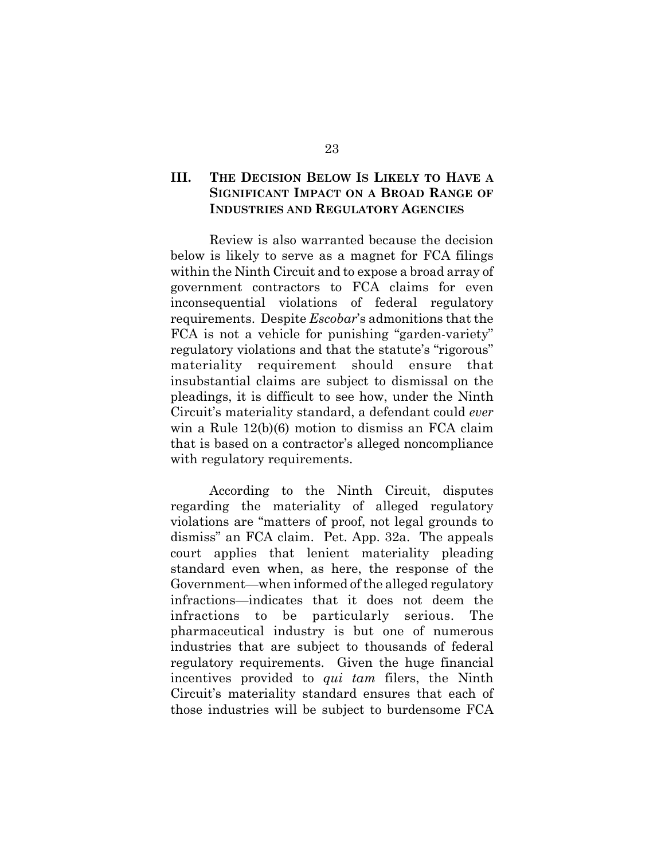### **III. THE DECISION BELOW IS LIKELY TO HAVE A SIGNIFICANT IMPACT ON A BROAD RANGE OF INDUSTRIES AND REGULATORY AGENCIES**

Review is also warranted because the decision below is likely to serve as a magnet for FCA filings within the Ninth Circuit and to expose a broad array of government contractors to FCA claims for even inconsequential violations of federal regulatory requirements. Despite *Escobar*'s admonitions that the FCA is not a vehicle for punishing "garden-variety" regulatory violations and that the statute's "rigorous" materiality requirement should ensure that insubstantial claims are subject to dismissal on the pleadings, it is difficult to see how, under the Ninth Circuit's materiality standard, a defendant could *ever* win a Rule 12(b)(6) motion to dismiss an FCA claim that is based on a contractor's alleged noncompliance with regulatory requirements.

According to the Ninth Circuit, disputes regarding the materiality of alleged regulatory violations are "matters of proof, not legal grounds to dismiss" an FCA claim. Pet. App. 32a. The appeals court applies that lenient materiality pleading standard even when, as here, the response of the Government—when informed of the alleged regulatory infractions—indicates that it does not deem the infractions to be particularly serious. The pharmaceutical industry is but one of numerous industries that are subject to thousands of federal regulatory requirements. Given the huge financial incentives provided to *qui tam* filers, the Ninth Circuit's materiality standard ensures that each of those industries will be subject to burdensome FCA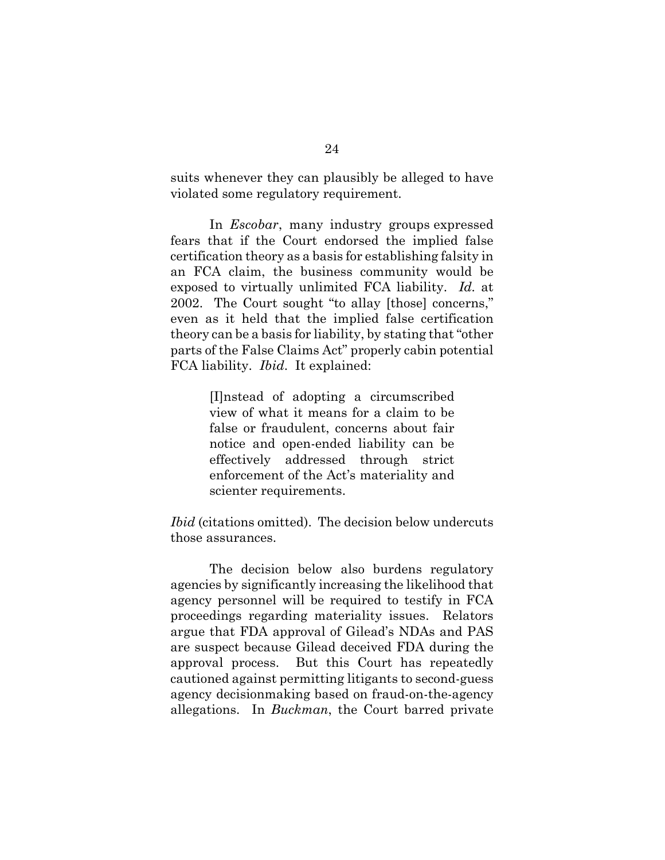suits whenever they can plausibly be alleged to have violated some regulatory requirement.

 In *Escobar*, many industry groups expressed fears that if the Court endorsed the implied false certification theory as a basis for establishing falsity in an FCA claim, the business community would be exposed to virtually unlimited FCA liability. *Id.* at 2002. The Court sought "to allay [those] concerns," even as it held that the implied false certification theory can be a basis for liability, by stating that "other parts of the False Claims Act" properly cabin potential FCA liability. *Ibid*. It explained:

> [I]nstead of adopting a circumscribed view of what it means for a claim to be false or fraudulent, concerns about fair notice and open-ended liability can be effectively addressed through strict enforcement of the Act's materiality and scienter requirements.

*Ibid* (citations omitted). The decision below undercuts those assurances.

The decision below also burdens regulatory agencies by significantly increasing the likelihood that agency personnel will be required to testify in FCA proceedings regarding materiality issues. Relators argue that FDA approval of Gilead's NDAs and PAS are suspect because Gilead deceived FDA during the approval process. But this Court has repeatedly cautioned against permitting litigants to second-guess agency decisionmaking based on fraud-on-the-agency allegations. In *Buckman*, the Court barred private